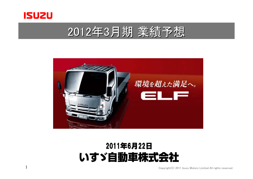

1





### 2011年6月22日 いすゞ自動車株式会社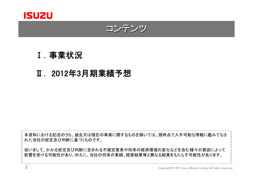

コンテンツ

### Ⅰ.事業状況

### Ⅱ. 2012年3月期業績予想

本資料における記述のうち、過去又は現在の事実に関するものを除いては、現時点で入手可能な情報に鑑みてなさ れた当社の仮定及び判断に基づくものです。

従いまして、かかる仮定及び判断に含まれる不確定要素や将来の経済環境の変化などを含む種々の要因によって 影響を受ける可能性があり、ゆえに、当社の将来の業績、経営結果等と異なる結果をもたらす可能性があります。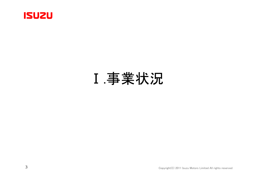

## Ⅰ.事業状況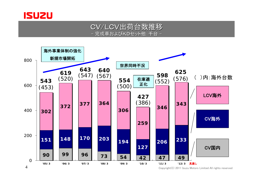

#### CV/LCV出荷台数推移 - 完成車およびKDセット他:千台 -

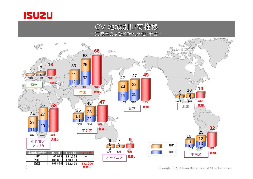

#### CV 地域別出荷推移 地域別出荷推移 完成車およびKDセット他:千台 -

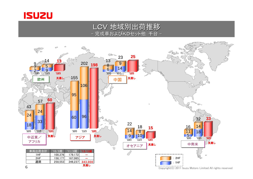

#### LCV 地域別出荷推移 - 完成車およびKDセット他:千台 -

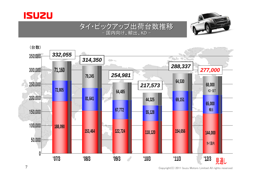





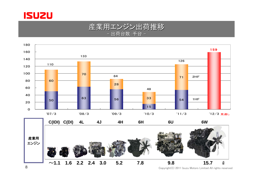

#### 産業用エンジン出荷推移 - 出荷台数:千台 -



Copyright(C) 2011 Isuzu Motors Limited All rights reserved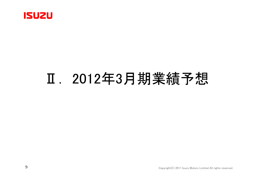

# Ⅱ. 2012年3月期業績予想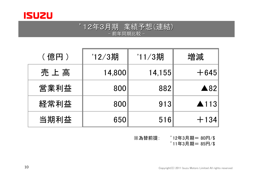

#### '12年3月期 業績予想(連結) - 前年同期比較 -

| (億円) | '12/3期<br>'11/3期 |        | 増減              |  |
|------|------------------|--------|-----------------|--|
| 売上高  | 14,800           | 14,155 | $+645$          |  |
| 営業利益 | 800              | 882    | $\triangle 82$  |  |
| 経常利益 | 800              | 913    | $\triangle$ 113 |  |
| 当期利益 | 650              | 516    | $+134$          |  |

※為替前提: '12年3月期= 80円/\$

'11年3月期= 85円/\$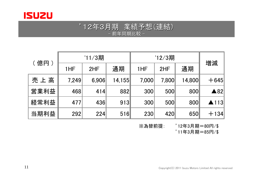

#### '12年3月期 業績予想(連結) - 前年同期比較 -

| 億円)  | $'11/3$ 期 |       |        | '12/3期 |       |        |                 |
|------|-----------|-------|--------|--------|-------|--------|-----------------|
|      | 1HF       | 2HF   | 通期     | 1HF    | 2HF   | 通期     | 増減              |
| 売上高  | 7,249     | 6,906 | 14,155 | 7,000  | 7,800 | 14,800 | $+645$          |
| 営業利益 | 468       | 414   | 882    | 300    | 500   | 800    | $\triangle 82$  |
| 経常利益 | 477       | 436   | 913    | 300    | 500   | 800    | $\triangle$ 113 |
| 当期利益 | 292       | 224   | 516    | 230    | 420   | 650    | $+134$          |

※為替前提: '12年3月期=80円/\$

'11年3月期=85円/\$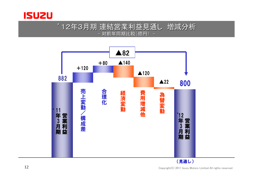

#### '12年3月期 連結営業利益見通し 増減分析 - 対前年同期比較(億円) -



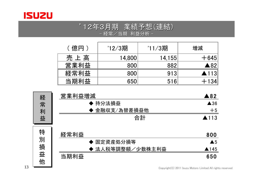

#### '12年3月期 業績予想(連結) - 経常/当期 利益分析 -

| (億円) | '12/3期 | '11/3期 | 増減              |
|------|--------|--------|-----------------|
| 売上高  | 14,800 | 14,155 | $+645$          |
| 営業利益 | 800    | 882    | $\triangle 82$  |
| 経常利益 | 800    | 913    | $\triangle$ 113 |
| 当期利益 | 650    | 516    | $+134$          |

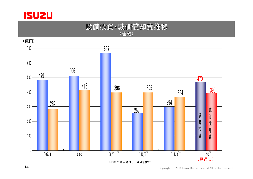